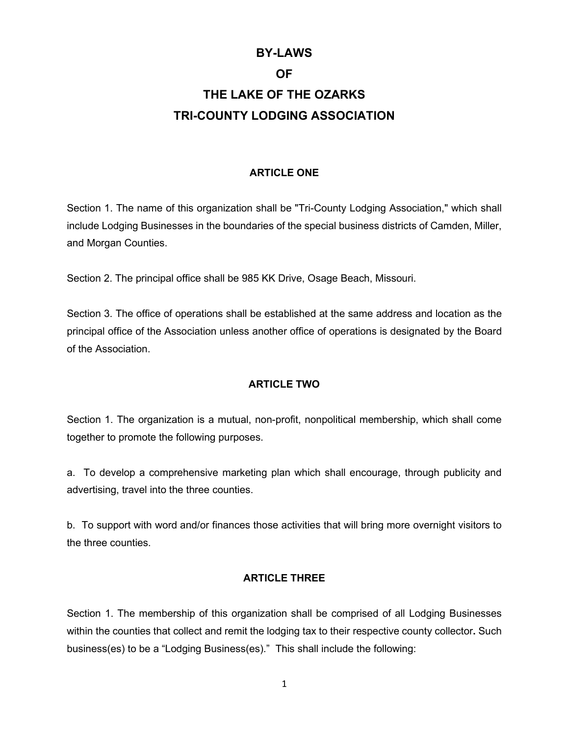## **BY-LAWS**

## **OF**

# **THE LAKE OF THE OZARKS TRI-COUNTY LODGING ASSOCIATION**

## **ARTICLE ONE**

Section 1. The name of this organization shall be "Tri-County Lodging Association," which shall include Lodging Businesses in the boundaries of the special business districts of Camden, Miller, and Morgan Counties.

Section 2. The principal office shall be 985 KK Drive, Osage Beach, Missouri.

Section 3. The office of operations shall be established at the same address and location as the principal office of the Association unless another office of operations is designated by the Board of the Association.

#### **ARTICLE TWO**

Section 1. The organization is a mutual, non-profit, nonpolitical membership, which shall come together to promote the following purposes.

a. To develop a comprehensive marketing plan which shall encourage, through publicity and advertising, travel into the three counties.

b. To support with word and/or finances those activities that will bring more overnight visitors to the three counties.

## **ARTICLE THREE**

Section 1. The membership of this organization shall be comprised of all Lodging Businesses within the counties that collect and remit the lodging tax to their respective county collector**.** Such business(es) to be a "Lodging Business(es)."This shall include the following:

1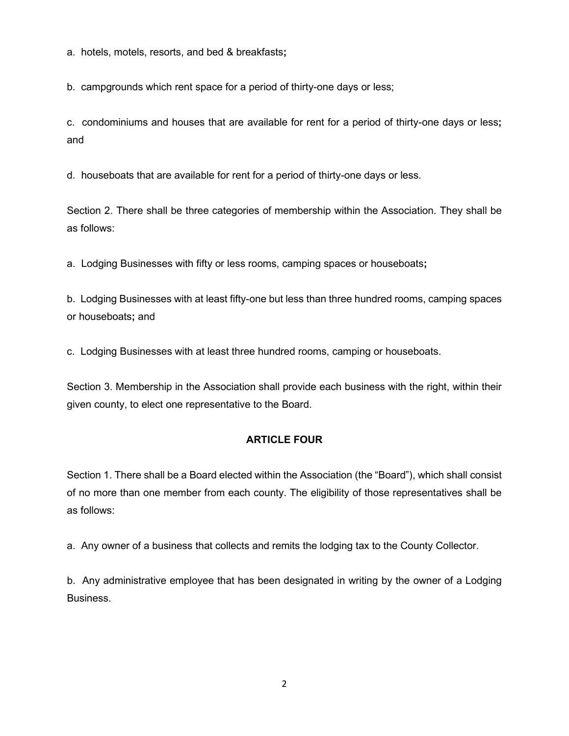a. hotels, motels, resorts, and bed & breakfasts**;**

b. campgrounds which rent space for a period of thirty-one days or less;

c. condominiums and houses that are available for rent for a period of thirty-one days or less**;**  and

d. houseboats that are available for rent for a period of thirty-one days or less.

Section 2. There shall be three categories of membership within the Association. They shall be as follows:

a. Lodging Businesses with fifty or less rooms, camping spaces or houseboats**;**

b. Lodging Businesses with at least fifty-one but less than three hundred rooms, camping spaces or houseboats**;** and

c. Lodging Businesses with at least three hundred rooms, camping or houseboats.

Section 3. Membership in the Association shall provide each business with the right, within their given county, to elect one representative to the Board.

## **ARTICLE FOUR**

Section 1. There shall be a Board elected within the Association (the "Board"), which shall consist of no more than one member from each county. The eligibility of those representatives shall be as follows:

a. Any owner of a business that collects and remits the lodging tax to the County Collector.

b. Any administrative employee that has been designated in writing by the owner of a Lodging Business.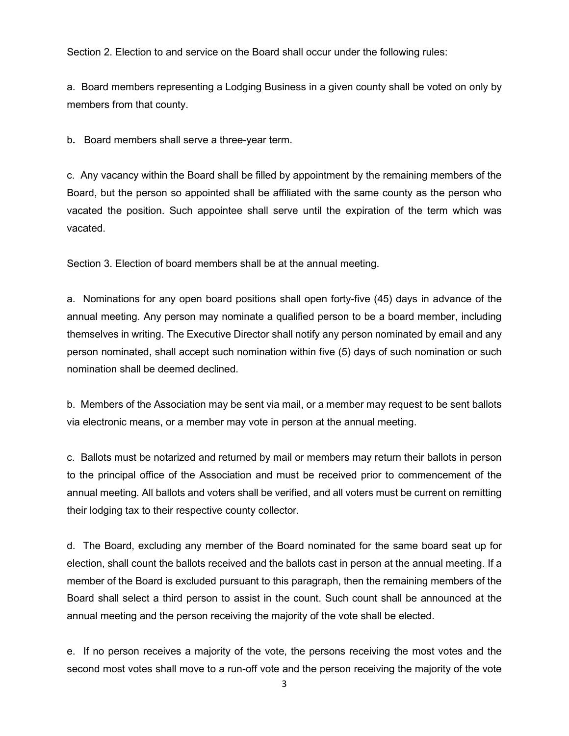Section 2. Election to and service on the Board shall occur under the following rules:

a. Board members representing a Lodging Business in a given county shall be voted on only by members from that county.

b**.** Board members shall serve a three-year term.

c. Any vacancy within the Board shall be filled by appointment by the remaining members of the Board, but the person so appointed shall be affiliated with the same county as the person who vacated the position. Such appointee shall serve until the expiration of the term which was vacated.

Section 3. Election of board members shall be at the annual meeting.

a. Nominations for any open board positions shall open forty-five (45) days in advance of the annual meeting. Any person may nominate a qualified person to be a board member, including themselves in writing. The Executive Director shall notify any person nominated by email and any person nominated, shall accept such nomination within five (5) days of such nomination or such nomination shall be deemed declined.

b. Members of the Association may be sent via mail, or a member may request to be sent ballots via electronic means, or a member may vote in person at the annual meeting.

c. Ballots must be notarized and returned by mail or members may return their ballots in person to the principal office of the Association and must be received prior to commencement of the annual meeting. All ballots and voters shall be verified, and all voters must be current on remitting their lodging tax to their respective county collector.

d. The Board, excluding any member of the Board nominated for the same board seat up for election, shall count the ballots received and the ballots cast in person at the annual meeting. If a member of the Board is excluded pursuant to this paragraph, then the remaining members of the Board shall select a third person to assist in the count. Such count shall be announced at the annual meeting and the person receiving the majority of the vote shall be elected.

e. If no person receives a majority of the vote, the persons receiving the most votes and the second most votes shall move to a run-off vote and the person receiving the majority of the vote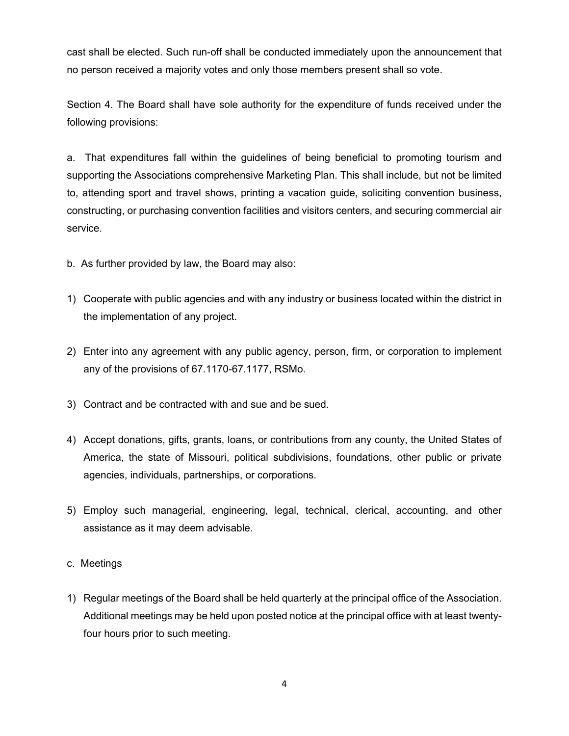cast shall be elected. Such run-off shall be conducted immediately upon the announcement that no person received a majority votes and only those members present shall so vote.

Section 4. The Board shall have sole authority for the expenditure of funds received under the following provisions:

a. That expenditures fall within the guidelines of being beneficial to promoting tourism and supporting the Associations comprehensive Marketing Plan. This shall include, but not be limited to, attending sport and travel shows, printing a vacation guide, soliciting convention business, constructing, or purchasing convention facilities and visitors centers, and securing commercial air service.

b. As further provided by law, the Board may also:

- 1) Cooperate with public agencies and with any industry or business located within the district in the implementation of any project.
- 2) Enter into any agreement with any public agency, person, firm, or corporation to implement any of the provisions of 67.1170-67.1177, RSMo.
- 3) Contract and be contracted with and sue and be sued.
- 4) Accept donations, gifts, grants, loans, or contributions from any county, the United States of America, the state of Missouri, political subdivisions, foundations, other public or private agencies, individuals, partnerships, or corporations.
- 5) Employ such managerial, engineering, legal, technical, clerical, accounting, and other assistance as it may deem advisable.
- c. Meetings
- 1) Regular meetings of the Board shall be held quarterly at the principal office of the Association. Additional meetings may be held upon posted notice at the principal office with at least twentyfour hours prior to such meeting.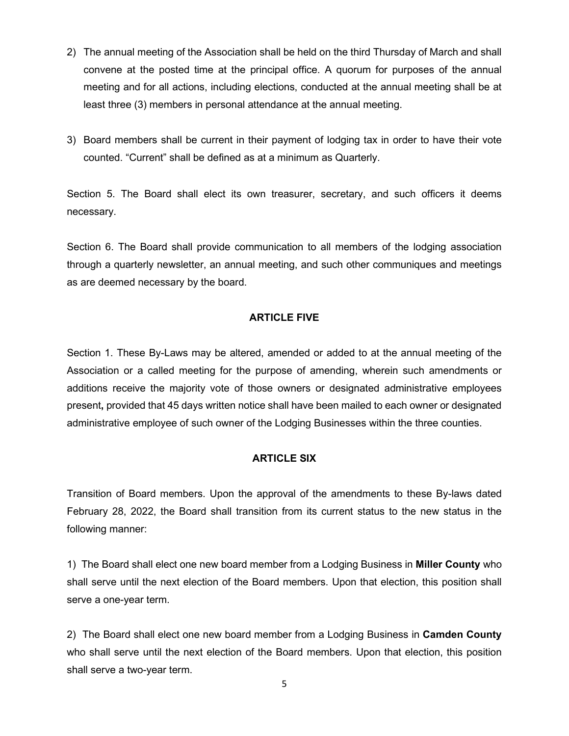- 2) The annual meeting of the Association shall be held on the third Thursday of March and shall convene at the posted time at the principal office. A quorum for purposes of the annual meeting and for all actions, including elections, conducted at the annual meeting shall be at least three (3) members in personal attendance at the annual meeting.
- 3) Board members shall be current in their payment of lodging tax in order to have their vote counted. "Current" shall be defined as at a minimum as Quarterly.

Section 5. The Board shall elect its own treasurer, secretary, and such officers it deems necessary.

Section 6. The Board shall provide communication to all members of the lodging association through a quarterly newsletter, an annual meeting, and such other communiques and meetings as are deemed necessary by the board.

## **ARTICLE FIVE**

Section 1. These By-Laws may be altered, amended or added to at the annual meeting of the Association or a called meeting for the purpose of amending, wherein such amendments or additions receive the majority vote of those owners or designated administrative employees present**,** provided that 45 days written notice shall have been mailed to each owner or designated administrative employee of such owner of the Lodging Businesses within the three counties.

## **ARTICLE SIX**

Transition of Board members. Upon the approval of the amendments to these By-laws dated February 28, 2022, the Board shall transition from its current status to the new status in the following manner:

1) The Board shall elect one new board member from a Lodging Business in **Miller County** who shall serve until the next election of the Board members. Upon that election, this position shall serve a one-year term.

2) The Board shall elect one new board member from a Lodging Business in **Camden County** who shall serve until the next election of the Board members. Upon that election, this position shall serve a two-year term.